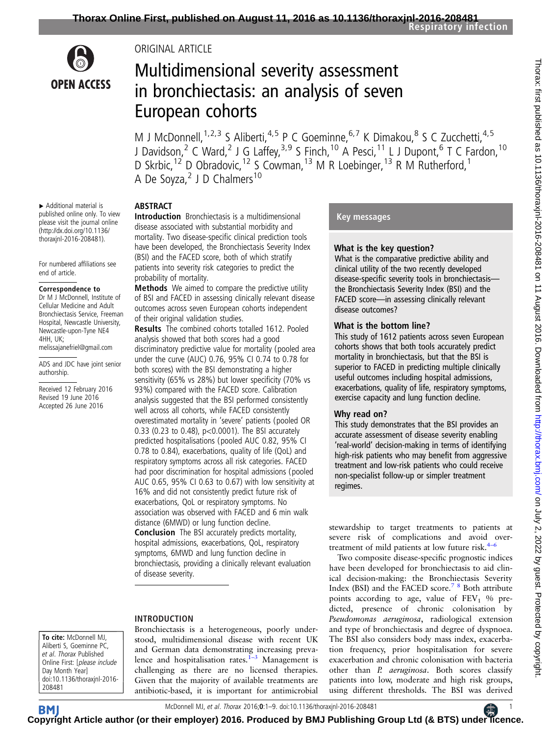

# ORIGINAL ARTICLE

# Multidimensional severity assessment in bronchiectasis: an analysis of seven European cohorts

M J McDonnell, <sup>1,2,3</sup> S Aliberti, <sup>4,5</sup> P C Goeminne, <sup>6,7</sup> K Dimakou, <sup>8</sup> S C Zucchetti, <sup>4,5</sup> J Davidson,<sup>2</sup> C Ward,<sup>2</sup> J G Laffey,<sup>3,9</sup> S Finch,<sup>10</sup> A Pesci,<sup>11</sup> L J Dupont,<sup>6</sup> T C Fardon,<sup>10</sup> D Skrbic,<sup>12</sup> D Obradovic,<sup>12</sup> S Cowman,<sup>13</sup> M R Loebinger,<sup>13</sup> R M Rutherford,<sup>1</sup> A De Soyza,<sup>2</sup> J D Chalmers<sup>10</sup>

▸ Additional material is published online only. To view please visit the journal online [\(http://dx.doi.org/10.1136/](http://dx.doi.org/10.1136/thoraxjnl-2016-208481) [thoraxjnl-2016-208481\)](http://dx.doi.org/10.1136/thoraxjnl-2016-208481).

For numbered affiliations see end of article.

#### Correspondence to

Dr M J McDonnell, Institute of Cellular Medicine and Adult Bronchiectasis Service, Freeman Hospital, Newcastle University, Newcastle-upon-Tyne NE4 4HH, UK; melissajanefriel@gmail.com

ADS and JDC have joint senior authorship.

Received 12 February 2016 Revised 19 June 2016 Accepted 26 June 2016

ABSTRACT

Introduction Bronchiectasis is a multidimensional disease associated with substantial morbidity and mortality. Two disease-specific clinical prediction tools have been developed, the Bronchiectasis Severity Index (BSI) and the FACED score, both of which stratify patients into severity risk categories to predict the probability of mortality.

Methods We aimed to compare the predictive utility of BSI and FACED in assessing clinically relevant disease outcomes across seven European cohorts independent of their original validation studies.

Results The combined cohorts totalled 1612. Pooled analysis showed that both scores had a good discriminatory predictive value for mortality (pooled area under the curve (AUC) 0.76, 95% CI 0.74 to 0.78 for both scores) with the BSI demonstrating a higher sensitivity (65% vs 28%) but lower specificity (70% vs 93%) compared with the FACED score. Calibration analysis suggested that the BSI performed consistently well across all cohorts, while FACED consistently overestimated mortality in 'severe' patients (pooled OR 0.33 (0.23 to 0.48), p<0.0001). The BSI accurately predicted hospitalisations (pooled AUC 0.82, 95% CI 0.78 to 0.84), exacerbations, quality of life (QoL) and respiratory symptoms across all risk categories. FACED had poor discrimination for hospital admissions (pooled AUC 0.65, 95% CI 0.63 to 0.67) with low sensitivity at 16% and did not consistently predict future risk of exacerbations, QoL or respiratory symptoms. No association was observed with FACED and 6 min walk distance (6MWD) or lung function decline. Conclusion The BSI accurately predicts mortality, hospital admissions, exacerbations, QoL, respiratory symptoms, 6MWD and lung function decline in bronchiectasis, providing a clinically relevant evaluation of disease severity.

# INTRODUCTION

To cite: McDonnell MJ, Aliberti S, Goeminne PC, et al. Thorax Published Online First: [please include Day Month Year] doi:10.1136/thoraxjnl-2016- 208481

Bronchiectasis is a heterogeneous, poorly understood, multidimensional disease with recent UK and German data demonstrating increasing prevalence and hospitalisation rates. $1-3$  Management is challenging as there are no licensed therapies. Given that the majority of available treatments are antibiotic-based, it is important for antimicrobial

# Key messages

## What is the key question?

What is the comparative predictive ability and clinical utility of the two recently developed disease-specific severity tools in bronchiectasis the Bronchiectasis Severity Index (BSI) and the FACED score—in assessing clinically relevant disease outcomes?

## What is the bottom line?

This study of 1612 patients across seven European cohorts shows that both tools accurately predict mortality in bronchiectasis, but that the BSI is superior to FACED in predicting multiple clinically useful outcomes including hospital admissions, exacerbations, quality of life, respiratory symptoms, exercise capacity and lung function decline.

## Why read on?

This study demonstrates that the BSI provides an accurate assessment of disease severity enabling 'real-world' decision-making in terms of identifying high-risk patients who may benefit from aggressive treatment and low-risk patients who could receive non-specialist follow-up or simpler treatment regimes.

stewardship to target treatments to patients at severe risk of complications and avoid overtreatment of mild patients at low future risk. $4-6$ 

Two composite disease-specific prognostic indices have been developed for bronchiectasis to aid clinical decision-making: the Bronchiectasis Severity Index (BSI) and the FACED score.<sup>7</sup> <sup>8</sup> Both attribute points according to age, value of  $FEV<sub>1</sub>$  % predicted, presence of chronic colonisation by Pseudomonas aeruginosa, radiological extension and type of bronchiectasis and degree of dyspnoea. The BSI also considers body mass index, exacerbation frequency, prior hospitalisation for severe exacerbation and chronic colonisation with bacteria other than P. aeruginosa. Both scores classify patients into low, moderate and high risk groups, using different thresholds. The BSI was derived

McDonnell MJ, et al. Thorax 2016;**0**:1–9. doi:10.1136/thoraxjnl-2016-208481 **19.11.12016** 1

**C[opyrig](http://thorax.bmj.com/)ht Article author (or their employer) 2016. Produced by BMJ Publishing Group Ltd (& BTS) unde[r lic](https://www.brit-thoracic.org.uk/)ence.** 

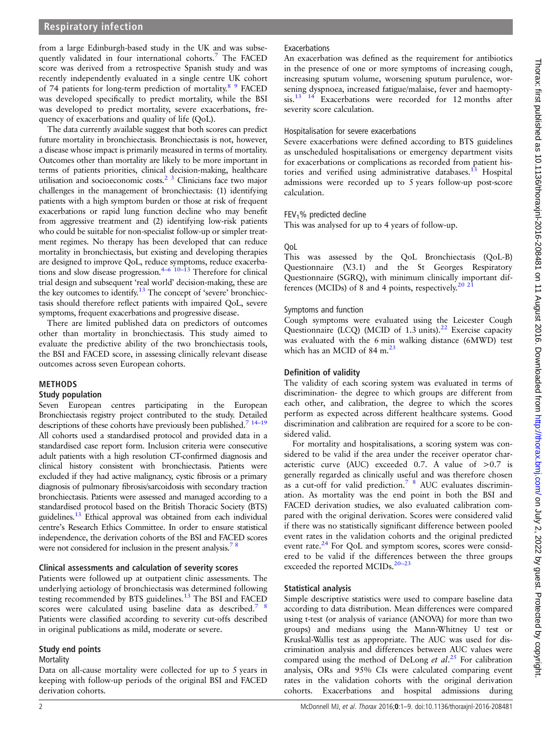## Respiratory infection

from a large Edinburgh-based study in the UK and was subsequently validated in four international cohorts.[7](#page-7-0) The FACED score was derived from a retrospective Spanish study and was recently independently evaluated in a single centre UK cohort of 74 patients for long-term prediction of mortality.<sup>8</sup> <sup>9</sup> FACED was developed specifically to predict mortality, while the BSI was developed to predict mortality, severe exacerbations, frequency of exacerbations and quality of life (QoL).

The data currently available suggest that both scores can predict future mortality in bronchiectasis. Bronchiectasis is not, however, a disease whose impact is primarily measured in terms of mortality. Outcomes other than mortality are likely to be more important in terms of patients priorities, clinical decision-making, healthcare utilisation and socioeconomic costs.<sup>2</sup><sup>3</sup> Clinicians face two major challenges in the management of bronchiectasis: (1) identifying patients with a high symptom burden or those at risk of frequent exacerbations or rapid lung function decline who may benefit from aggressive treatment and (2) identifying low-risk patients who could be suitable for non-specialist follow-up or simpler treatment regimes. No therapy has been developed that can reduce mortality in bronchiectasis, but existing and developing therapies are designed to improve QoL, reduce symptoms, reduce exacerba-tions and slow disease progression.<sup>4–[6](#page-7-0) 10–[13](#page-7-0)</sup> Therefore for clinical trial design and subsequent 'real world' decision-making, these are the key outcomes to identify.<sup>[13](#page-7-0)</sup> The concept of 'severe' bronchiectasis should therefore reflect patients with impaired QoL, severe symptoms, frequent exacerbations and progressive disease.

There are limited published data on predictors of outcomes other than mortality in bronchiectasis. This study aimed to evaluate the predictive ability of the two bronchiectasis tools, the BSI and FACED score, in assessing clinically relevant disease outcomes across seven European cohorts.

#### METHODS

#### Study population

Seven European centres participating in the European Bronchiectasis registry project contributed to the study. Detailed descriptions of these cohorts have previously been published.<sup>7</sup> <sup>14–19</sup> All cohorts used a standardised protocol and provided data in a standardised case report form. Inclusion criteria were consecutive adult patients with a high resolution CT-confirmed diagnosis and clinical history consistent with bronchiectasis. Patients were excluded if they had active malignancy, cystic fibrosis or a primary diagnosis of pulmonary fibrosis/sarcoidosis with secondary traction bronchiectasis. Patients were assessed and managed according to a standardised protocol based on the British Thoracic Society (BTS) guidelines.<sup>[13](#page-7-0)</sup> Ethical approval was obtained from each individual centre's Research Ethics Committee. In order to ensure statistical independence, the derivation cohorts of the BSI and FACED scores were not considered for inclusion in the present analysis.<sup>78</sup>

#### Clinical assessments and calculation of severity scores

Patients were followed up at outpatient clinic assessments. The underlying aetiology of bronchiectasis was determined following testing recommended by BTS guidelines.<sup>[13](#page-7-0)</sup> The BSI and FACED scores were calculated using baseline data as described.<sup>7</sup> <sup>8</sup> Patients were classified according to severity cut-offs described in original publications as mild, moderate or severe.

#### Study end points

Mortality

Data on all-cause mortality were collected for up to 5 years in keeping with follow-up periods of the original BSI and FACED derivation cohorts.

## **Exacerbations**

An exacerbation was defined as the requirement for antibiotics in the presence of one or more symptoms of increasing cough, increasing sputum volume, worsening sputum purulence, worsening dyspnoea, increased fatigue/malaise, fever and haemoptysis.<sup>13</sup> <sup>14</sup> Exacerbations were recorded for 12 months after severity score calculation.

#### Hospitalisation for severe exacerbations

Severe exacerbations were defined according to BTS guidelines as unscheduled hospitalisations or emergency department visits for exacerbations or complications as recorded from patient his-tories and verified using administrative databases.<sup>[13](#page-7-0)</sup> Hospital admissions were recorded up to 5 years follow-up post-score calculation.

## $FEV<sub>1</sub>$ % predicted decline

This was analysed for up to 4 years of follow-up.

## QoL

This was assessed by the QoL Bronchiectasis (QoL-B) Questionnaire (V.3.1) and the St Georges Respiratory Questionnaire (SGRQ), with minimum clinically important dif-ferences (MCIDs) of 8 and 4 points, respectively.<sup>[20 21](#page-7-0)</sup>

#### Symptoms and function

Cough symptoms were evaluated using the Leicester Cough Questionnaire (LCQ) (MCID of  $1.3 \text{ units}$ ).<sup>[22](#page-8-0)</sup> Exercise capacity was evaluated with the 6 min walking distance (6MWD) test which has an MCID of  $84 \text{ m}^{23}$  $84 \text{ m}^{23}$  $84 \text{ m}^{23}$ 

## Definition of validity

The validity of each scoring system was evaluated in terms of discrimination- the degree to which groups are different from each other, and calibration, the degree to which the scores perform as expected across different healthcare systems. Good discrimination and calibration are required for a score to be considered valid.

For mortality and hospitalisations, a scoring system was considered to be valid if the area under the receiver operator characteristic curve (AUC) exceeded 0.7. A value of  $>0.7$  is generally regarded as clinically useful and was therefore chosen as a cut-off for valid prediction[.7 8](#page-7-0) AUC evaluates discrimination. As mortality was the end point in both the BSI and FACED derivation studies, we also evaluated calibration compared with the original derivation. Scores were considered valid if there was no statistically significant difference between pooled event rates in the validation cohorts and the original predicted event rate.<sup>[24](#page-8-0)</sup> For QoL and symptom scores, scores were considered to be valid if the differences between the three groups exceeded the reported MCIDs.<sup>20–23</sup>

## Statistical analysis

Simple descriptive statistics were used to compare baseline data according to data distribution. Mean differences were compared using t-test (or analysis of variance (ANOVA) for more than two groups) and medians using the Mann-Whitney U test or Kruskal-Wallis test as appropriate. The AUC was used for discrimination analysis and differences between AUC values were compared using the method of DeLong et  $al.^{25}$  $al.^{25}$  $al.^{25}$  For calibration analysis, ORs and 95% CIs were calculated comparing event rates in the validation cohorts with the original derivation cohorts. Exacerbations and hospital admissions during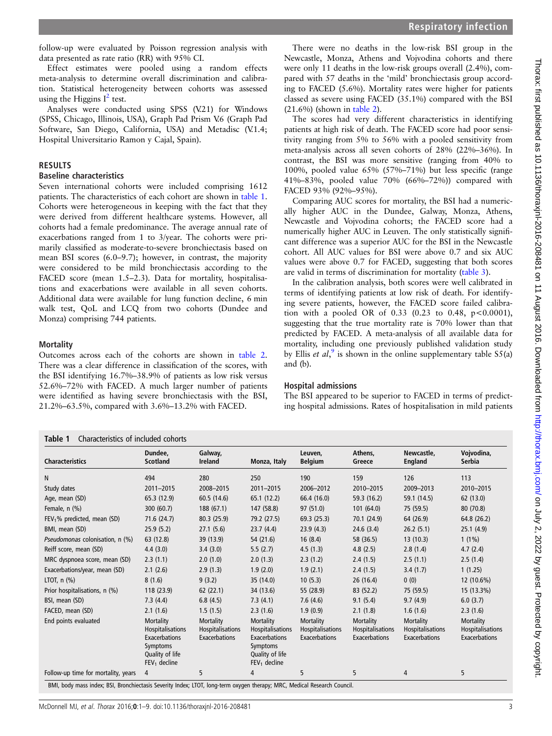on July 2, 2022 by guest. Protected by copyright. <http://thorax.bmj.com/> Thorax: first published as 10.1136/thoraxjnl-2016-208481 on 11 August 2016. Downloaded from Thorax: first published as 10.1136/thoraxjnl-2016-208481 on 11 August 2016. Downloaded from http://thorax.bmj.com/ on July 2, 2022 by guest. Protected by copyright

follow-up were evaluated by Poisson regression analysis with data presented as rate ratio (RR) with 95% CI.

Effect estimates were pooled using a random effects meta-analysis to determine overall discrimination and calibration. Statistical heterogeneity between cohorts was assessed using the Higgins  $I^2$  $I^2$  test.

Analyses were conducted using SPSS (V.21) for Windows (SPSS, Chicago, Illinois, USA), Graph Pad Prism V.6 (Graph Pad Software, San Diego, California, USA) and Metadisc (V.1.4; Hospital Universitario Ramon y Cajal, Spain).

#### RESULTS

#### Baseline characteristics

Seven international cohorts were included comprising 1612 patients. The characteristics of each cohort are shown in table 1. Cohorts were heterogeneous in keeping with the fact that they were derived from different healthcare systems. However, all cohorts had a female predominance. The average annual rate of exacerbations ranged from 1 to 3/year. The cohorts were primarily classified as moderate-to-severe bronchiectasis based on mean BSI scores (6.0–9.7); however, in contrast, the majority were considered to be mild bronchiectasis according to the FACED score (mean 1.5–2.3). Data for mortality, hospitalisations and exacerbations were available in all seven cohorts. Additional data were available for lung function decline, 6 min walk test, QoL and LCQ from two cohorts (Dundee and Monza) comprising 744 patients.

## **Mortality**

Outcomes across each of the cohorts are shown in [table 2](#page-3-0). There was a clear difference in classification of the scores, with the BSI identifying 16.7%–38.9% of patients as low risk versus 52.6%–72% with FACED. A much larger number of patients were identified as having severe bronchiectasis with the BSI, 21.2%–63.5%, compared with 3.6%–13.2% with FACED.

| There were no deaths in the low-risk BSI group in the           |
|-----------------------------------------------------------------|
| Newcastle, Monza, Athens and Vojvodina cohorts and there        |
| were only 11 deaths in the low-risk groups overall (2.4%), com- |
| pared with 57 deaths in the 'mild' bronchiectasis group accord- |
| ing to FACED (5.6%). Mortality rates were higher for patients   |
| classed as severe using FACED $(35.1\%)$ compared with the BSI  |
| $(21.6\%)$ (shown in table 2).                                  |

The scores had very different characteristics in identifying patients at high risk of death. The FACED score had poor sensitivity ranging from 5% to 56% with a pooled sensitivity from meta-analysis across all seven cohorts of 28% (22%–36%). In contrast, the BSI was more sensitive (ranging from 40% to 100%, pooled value 65% (57%–71%) but less specific (range 41%–83%, pooled value 70% (66%–72%)) compared with FACED 93% (92%–95%).

Comparing AUC scores for mortality, the BSI had a numerically higher AUC in the Dundee, Galway, Monza, Athens, Newcastle and Vojvodina cohorts; the FACED score had a numerically higher AUC in Leuven. The only statistically significant difference was a superior AUC for the BSI in the Newcastle cohort. All AUC values for BSI were above 0.7 and six AUC values were above 0.7 for FACED, suggesting that both scores are valid in terms of discrimination for mortality ([table 3](#page-4-0)).

In the calibration analysis, both scores were well calibrated in terms of identifying patients at low risk of death. For identifying severe patients, however, the FACED score failed calibration with a pooled OR of  $0.33$   $(0.23$  to  $0.48$ ,  $p < 0.0001$ ), suggesting that the true mortality rate is 70% lower than that predicted by FACED. A meta-analysis of all available data for mortality, including one previously published validation study by Ellis et  $al$ ,<sup>[9](#page-7-0)</sup> is shown in the online supplementary table  $S5(a)$ and (b).

#### Hospital admissions

The BSI appeared to be superior to FACED in terms of predicting hospital admissions. Rates of hospitalisation in mild patients

| <b>Characteristics</b>              | Dundee,<br><b>Scotland</b>                                                                                    | Galway,<br>Ireland                                    | Monza, Italy                                                                                           | Leuven,<br><b>Belgium</b>                      | Athens,<br>Greece                                            | Newcastle,<br><b>England</b>                                 | Vojvodina,<br>Serbia                           |
|-------------------------------------|---------------------------------------------------------------------------------------------------------------|-------------------------------------------------------|--------------------------------------------------------------------------------------------------------|------------------------------------------------|--------------------------------------------------------------|--------------------------------------------------------------|------------------------------------------------|
| N                                   | 494                                                                                                           | 280                                                   | 250                                                                                                    | 190                                            | 159                                                          | 126                                                          | 113                                            |
| Study dates                         | 2011-2015                                                                                                     | 2008-2015                                             | 2011-2015                                                                                              | 2006-2012                                      | 2010-2015                                                    | 2009-2013                                                    | 2010-2015                                      |
| Age, mean (SD)                      | 65.3 (12.9)                                                                                                   | 60.5 (14.6)                                           | 65.1(12.2)                                                                                             | 66.4 (16.0)                                    | 59.3 (16.2)                                                  | 59.1 (14.5)                                                  | 62(13.0)                                       |
| Female, n (%)                       | 300 (60.7)                                                                                                    | 188 (67.1)                                            | 147 (58.8)                                                                                             | 97 (51.0)                                      | 101(64.0)                                                    | 75 (59.5)                                                    | 80 (70.8)                                      |
| $FEV1$ % predicted, mean (SD)       | 71.6 (24.7)                                                                                                   | 80.3 (25.9)                                           | 79.2 (27.5)                                                                                            | 69.3(25.3)                                     | 70.1 (24.9)                                                  | 64 (26.9)                                                    | 64.8 (26.2)                                    |
| BMI, mean (SD)                      | 25.9(5.2)                                                                                                     | 27.1(5.6)                                             | 23.7(4.4)                                                                                              | 23.9(4.3)                                      | 24.6(3.4)                                                    | 26.2(5.1)                                                    | 25.1(4.9)                                      |
| Pseudomonas colonisation, n (%)     | 63 (12.8)                                                                                                     | 39 (13.9)                                             | 54 (21.6)                                                                                              | 16(8.4)                                        | 58 (36.5)                                                    | 13(10.3)                                                     | $1(1\%)$                                       |
| Reiff score, mean (SD)              | 4.4(3.0)                                                                                                      | 3.4(3.0)                                              | 5.5(2.7)                                                                                               | 4.5(1.3)                                       | 4.8(2.5)                                                     | 2.8(1.4)                                                     | 4.7(2.4)                                       |
| MRC dyspnoea score, mean (SD)       | 2.3(1.1)                                                                                                      | 2.0(1.0)                                              | 2.0(1.3)                                                                                               | 2.3(1.2)                                       | 2.4(1.5)                                                     | 2.5(1.1)                                                     | 2.5(1.4)                                       |
| Exacerbations/year, mean (SD)       | 2.1(2.6)                                                                                                      | 2.9(1.3)                                              | 1.9(2.0)                                                                                               | 1.9(2.1)                                       | 2.4(1.5)                                                     | 3.4(1.7)                                                     | 1(1.25)                                        |
| LTOT, $n$ $(\%)$                    | 8(1.6)                                                                                                        | 9(3.2)                                                | 35(14.0)                                                                                               | 10(5.3)                                        | 26(16.4)                                                     | 0(0)                                                         | 12 (10.6%)                                     |
| Prior hospitalisations, n (%)       | 118 (23.9)                                                                                                    | 62(22.1)                                              | 34 (13.6)                                                                                              | 55 (28.9)                                      | 83 (52.2)                                                    | 75 (59.5)                                                    | 15 (13.3%)                                     |
| BSI, mean (SD)                      | 7.3(4.4)                                                                                                      | 6.8(4.5)                                              | 7.3(4.1)                                                                                               | 7.6(4.6)                                       | 9.1(5.4)                                                     | 9.7(4.9)                                                     | 6.0(3.7)                                       |
| FACED, mean (SD)                    | 2.1(1.6)                                                                                                      | 1.5(1.5)                                              | 2.3(1.6)                                                                                               | 1.9(0.9)                                       | 2.1(1.8)                                                     | 1.6(1.6)                                                     | 2.3(1.6)                                       |
| End points evaluated                | Mortality<br><b>Hospitalisations</b><br><b>Exacerbations</b><br>Symptoms<br>Quality of life<br>$FEV1$ decline | Mortality<br><b>Hospitalisations</b><br>Exacerbations | Mortality<br><b>Hospitalisations</b><br>Exacerbations<br>Symptoms<br>Quality of life<br>$FEV1$ decline | Mortality<br>Hospitalisations<br>Exacerbations | Mortality<br><b>Hospitalisations</b><br><b>Exacerbations</b> | Mortality<br><b>Hospitalisations</b><br><b>Exacerbations</b> | Mortality<br>Hospitalisations<br>Exacerbations |
| Follow-up time for mortality, years | $\overline{4}$                                                                                                | 5                                                     | 4                                                                                                      | 5                                              | 5                                                            | 4                                                            | 5                                              |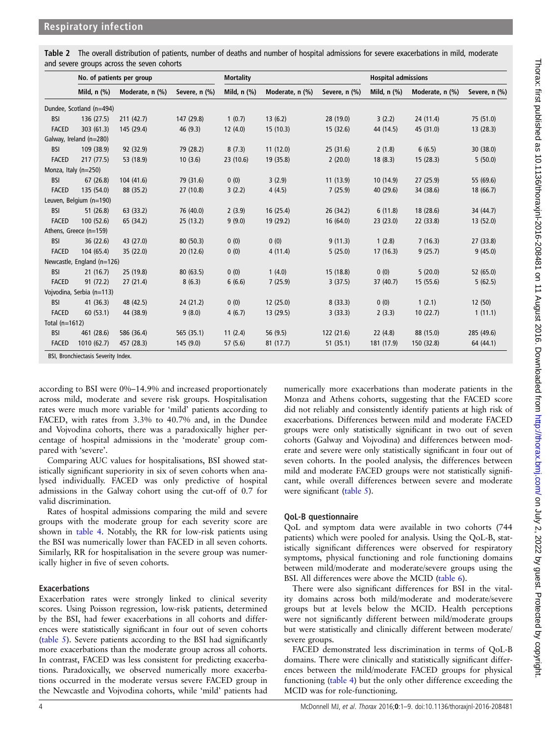<span id="page-3-0"></span>

| Table 2 The overall distribution of patients, number of deaths and number of hospital admissions for severe exacerbations in mild, moderate |  |  |
|---------------------------------------------------------------------------------------------------------------------------------------------|--|--|
| and severe groups across the seven cohorts                                                                                                  |  |  |

|                  | No. of patients per group           |                 | <b>Mortality</b> |             |                 | <b>Hospital admissions</b> |                  |                 |               |
|------------------|-------------------------------------|-----------------|------------------|-------------|-----------------|----------------------------|------------------|-----------------|---------------|
|                  | Mild, $n$ $%$                       | Moderate, n (%) | Severe, n (%)    | Mild, n (%) | Moderate, n (%) | Severe, n (%)              | Mild, $n$ $(\%)$ | Moderate, n (%) | Severe, n (%) |
|                  | Dundee, Scotland (n=494)            |                 |                  |             |                 |                            |                  |                 |               |
| <b>BSI</b>       | 136 (27.5)                          | 211(42.7)       | 147 (29.8)       | 1(0.7)      | 13(6.2)         | 28 (19.0)                  | 3(2.2)           | 24 (11.4)       | 75 (51.0)     |
| <b>FACED</b>     | 303 (61.3)                          | 145 (29.4)      | 46 (9.3)         | 12(4.0)     | 15(10.3)        | 15(32.6)                   | 44 (14.5)        | 45 (31.0)       | 13(28.3)      |
|                  | Galway, Ireland (n=280)             |                 |                  |             |                 |                            |                  |                 |               |
| <b>BSI</b>       | 109 (38.9)                          | 92 (32.9)       | 79 (28.2)        | 8(7.3)      | 11(12.0)        | 25(31.6)                   | 2(1.8)           | 6(6.5)          | 30(38.0)      |
| <b>FACED</b>     | 217 (77.5)                          | 53 (18.9)       | 10(3.6)          | 23 (10.6)   | 19 (35.8)       | 2(20.0)                    | 18(8.3)          | 15(28.3)        | 5(50.0)       |
|                  | Monza, Italy $(n=250)$              |                 |                  |             |                 |                            |                  |                 |               |
| <b>BSI</b>       | 67(26.8)                            | 104 (41.6)      | 79 (31.6)        | 0(0)        | 3(2.9)          | 11(13.9)                   | 10(14.9)         | 27(25.9)        | 55 (69.6)     |
| <b>FACED</b>     | 135 (54.0)                          | 88 (35.2)       | 27(10.8)         | 3(2.2)      | 4(4.5)          | 7(25.9)                    | 40 (29.6)        | 34 (38.6)       | 18(66.7)      |
|                  | Leuven, Belgium (n=190)             |                 |                  |             |                 |                            |                  |                 |               |
| <b>BSI</b>       | 51(26.8)                            | 63 (33.2)       | 76 (40.0)        | 2(3.9)      | 16(25.4)        | 26 (34.2)                  | 6(11.8)          | 18 (28.6)       | 34 (44.7)     |
| <b>FACED</b>     | 100 (52.6)                          | 65 (34.2)       | 25(13.2)         | 9(9.0)      | 19 (29.2)       | 16(64.0)                   | 23(23.0)         | 22 (33.8)       | 13 (52.0)     |
|                  | Athens, Greece (n=159)              |                 |                  |             |                 |                            |                  |                 |               |
| <b>BSI</b>       | 36 (22.6)                           | 43 (27.0)       | 80(50.3)         | 0(0)        | 0(0)            | 9(11.3)                    | 1(2.8)           | 7(16.3)         | 27 (33.8)     |
| <b>FACED</b>     | 104 (65.4)                          | 35 (22.0)       | 20(12.6)         | 0(0)        | 4(11.4)         | 5(25.0)                    | 17(16.3)         | 9(25.7)         | 9(45.0)       |
|                  | Newcastle, England (n=126)          |                 |                  |             |                 |                            |                  |                 |               |
| <b>BSI</b>       | 21(16.7)                            | 25 (19.8)       | 80(63.5)         | 0(0)        | 1(4.0)          | 15(18.8)                   | 0(0)             | 5(20.0)         | 52 (65.0)     |
| <b>FACED</b>     | 91(72.2)                            | 27(21.4)        | 8(6.3)           | 6(6.6)      | 7(25.9)         | 3(37.5)                    | 37 (40.7)        | 15(55.6)        | 5(62.5)       |
|                  | Vojvodina, Serbia (n=113)           |                 |                  |             |                 |                            |                  |                 |               |
| <b>BSI</b>       | 41 (36.3)                           | 48 (42.5)       | 24(21.2)         | 0(0)        | 12(25.0)        | 8(33.3)                    | 0(0)             | 1(2.1)          | 12(50)        |
| <b>FACED</b>     | 60(53.1)                            | 44 (38.9)       | 9(8.0)           | 4(6.7)      | 13 (29.5)       | 3(33.3)                    | 2(3.3)           | 10(22.7)        | 1(11.1)       |
| Total $(n=1612)$ |                                     |                 |                  |             |                 |                            |                  |                 |               |
| <b>BSI</b>       | 461 (28.6)                          | 586 (36.4)      | 565 (35.1)       | 11(2.4)     | 56 (9.5)        | 122(21.6)                  | 22(4.8)          | 88 (15.0)       | 285 (49.6)    |
| <b>FACED</b>     | 1010(62.7)                          | 457 (28.3)      | 145(9.0)         | 57(5.6)     | 81 (17.7)       | 51(35.1)                   | 181 (17.9)       | 150 (32.8)      | 64 (44.1)     |
|                  | BSI, Bronchiectasis Severity Index. |                 |                  |             |                 |                            |                  |                 |               |

according to BSI were 0%–14.9% and increased proportionately across mild, moderate and severe risk groups. Hospitalisation rates were much more variable for 'mild' patients according to FACED, with rates from 3.3% to 40.7% and, in the Dundee and Vojvodina cohorts, there was a paradoxically higher percentage of hospital admissions in the 'moderate' group compared with 'severe'.

Comparing AUC values for hospitalisations, BSI showed statistically significant superiority in six of seven cohorts when analysed individually. FACED was only predictive of hospital admissions in the Galway cohort using the cut-off of 0.7 for valid discrimination.

Rates of hospital admissions comparing the mild and severe groups with the moderate group for each severity score are shown in [table 4.](#page-4-0) Notably, the RR for low-risk patients using the BSI was numerically lower than FACED in all seven cohorts. Similarly, RR for hospitalisation in the severe group was numerically higher in five of seven cohorts.

## Exacerbations

Exacerbation rates were strongly linked to clinical severity scores. Using Poisson regression, low-risk patients, determined by the BSI, had fewer exacerbations in all cohorts and differences were statistically significant in four out of seven cohorts ([table 5\)](#page-5-0). Severe patients according to the BSI had significantly more exacerbations than the moderate group across all cohorts. In contrast, FACED was less consistent for predicting exacerbations. Paradoxically, we observed numerically more exacerbations occurred in the moderate versus severe FACED group in the Newcastle and Vojvodina cohorts, while 'mild' patients had

numerically more exacerbations than moderate patients in the Monza and Athens cohorts, suggesting that the FACED score did not reliably and consistently identify patients at high risk of exacerbations. Differences between mild and moderate FACED groups were only statistically significant in two out of seven cohorts (Galway and Vojvodina) and differences between moderate and severe were only statistically significant in four out of seven cohorts. In the pooled analysis, the differences between mild and moderate FACED groups were not statistically significant, while overall differences between severe and moderate were significant ([table 5\)](#page-5-0).

# QoL-B questionnaire

QoL and symptom data were available in two cohorts (744 patients) which were pooled for analysis. Using the QoL-B, statistically significant differences were observed for respiratory symptoms, physical functioning and role functioning domains between mild/moderate and moderate/severe groups using the BSI. All differences were above the MCID [\(table 6](#page-5-0)).

There were also significant differences for BSI in the vitality domains across both mild/moderate and moderate/severe groups but at levels below the MCID. Health perceptions were not significantly different between mild/moderate groups but were statistically and clinically different between moderate/ severe groups.

FACED demonstrated less discrimination in terms of QoL-B domains. There were clinically and statistically significant differences between the mild/moderate FACED groups for physical functioning [\(table 4](#page-4-0)) but the only other difference exceeding the MCID was for role-functioning.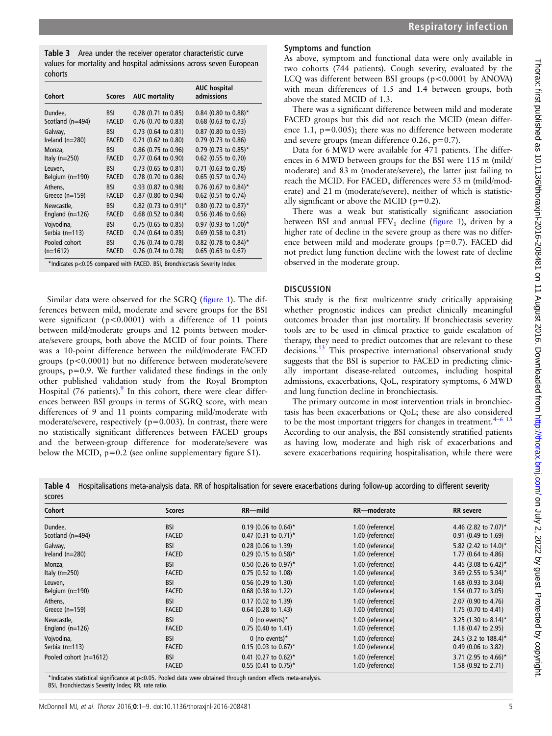<span id="page-4-0"></span>Table 3 Area under the receiver operator characteristic curve values for mortality and hospital admissions across seven European cohorts

| Cohort                                                                     | <b>Scores</b> | <b>AUC</b> mortality  | <b>AUC hospital</b><br>admissions |  |  |
|----------------------------------------------------------------------------|---------------|-----------------------|-----------------------------------|--|--|
| Dundee,                                                                    | <b>BSI</b>    | $0.78$ (0.71 to 0.85) | $0.84$ (0.80 to 0.88)*            |  |  |
| Scotland (n=494)                                                           | <b>FACED</b>  | 0.76 (0.70 to 0.83)   | $0.68$ (0.63 to 0.73)             |  |  |
| Galway,                                                                    | <b>BSI</b>    | 0.73 (0.64 to 0.81)   | 0.87 (0.80 to 0.93)               |  |  |
| Ireland $(n=280)$                                                          | <b>FACED</b>  | 0.71 (0.62 to 0.80)   | 0.79 (0.73 to 0.86)               |  |  |
| Monza,                                                                     | <b>BSI</b>    | $0.86$ (0.75 to 0.96) | $0.79$ (0.73 to 0.85)*            |  |  |
| Italy $(n=250)$                                                            | <b>FACED</b>  | 0.77 (0.64 to 0.90)   | 0.62 (0.55 to 0.70)               |  |  |
| Leuven,                                                                    | <b>BSI</b>    | $0.73$ (0.65 to 0.81) | 0.71 (0.63 to 0.78)               |  |  |
| Belgium (n=190)                                                            | <b>FACED</b>  | 0.78 (0.70 to 0.86)   | 0.65 (0.57 to 0.74)               |  |  |
| Athens,                                                                    | <b>BSI</b>    | 0.93 (0.87 to 0.98)   | $0.76$ (0.67 to 0.84)*            |  |  |
| Greece $(n=159)$                                                           | <b>FACED</b>  | 0.87 (0.80 to 0.94)   | 0.62 (0.51 to 0.74)               |  |  |
| Newcastle,                                                                 | <b>BSI</b>    | 0.82 (0.73 to 0.91)*  | 0.80 (0.72 to 0.87)*              |  |  |
| England $(n=126)$                                                          | <b>FACED</b>  | 0.68 (0.52 to 0.84)   | 0.56 (0.46 to 0.66)               |  |  |
| Vojvodina,                                                                 | <b>BSI</b>    | $0.75$ (0.65 to 0.85) | 0.97 (0.93 to 1.00)*              |  |  |
| Serbia (n=113)                                                             | <b>FACED</b>  | 0.74 (0.64 to 0.85)   | $0.69$ (0.58 to 0.81)             |  |  |
| Pooled cohort                                                              | <b>BSI</b>    | $0.76$ (0.74 to 0.78) | 0.82 (0.78 to 0.84)*              |  |  |
| $(n=1612)$                                                                 | <b>FACED</b>  | $0.76$ (0.74 to 0.78) | $0.65$ (0.63 to 0.67)             |  |  |
| *Indicates p<0.05 compared with FACED. BSI, Bronchiectasis Severity Index. |               |                       |                                   |  |  |

Similar data were observed for the SGRQ (fi[gure 1\)](#page-6-0). The differences between mild, moderate and severe groups for the BSI were significant ( $p < 0.0001$ ) with a difference of 11 points between mild/moderate groups and 12 points between moderate/severe groups, both above the MCID of four points. There was a 10-point difference between the mild/moderate FACED groups (p<0.0001) but no difference between moderate/severe groups, p=0.9. We further validated these findings in the only other published validation study from the Royal Brompton Hospital (76 patients). $9 \text{ In this cohort, there were clear differ-}$ ences between BSI groups in terms of SGRQ score, with mean differences of 9 and 11 points comparing mild/moderate with moderate/severe, respectively (p=0.003). In contrast, there were no statistically significant differences between FACED groups and the between-group difference for moderate/severe was below the MCID,  $p=0.2$  (see online supplementary figure S1).

# Symptoms and function

As above, symptom and functional data were only available in two cohorts (744 patients). Cough severity, evaluated by the LCQ was different between BSI groups (p<0.0001 by ANOVA) with mean differences of 1.5 and 1.4 between groups, both above the stated MCID of 1.3.

There was a significant difference between mild and moderate FACED groups but this did not reach the MCID (mean difference 1.1, p=0.005); there was no difference between moderate and severe groups (mean difference 0.26, p=0.7).

Data for 6 MWD were available for 471 patients. The differences in 6 MWD between groups for the BSI were 115 m (mild/ moderate) and 83 m (moderate/severe), the latter just failing to reach the MCID. For FACED, differences were 53 m (mild/moderate) and 21 m (moderate/severe), neither of which is statistically significant or above the MCID ( $p=0.2$ ).

There was a weak but statistically significant association between BSI and annual  $FEV<sub>1</sub>$  decline (fi[gure 1](#page-6-0)), driven by a higher rate of decline in the severe group as there was no difference between mild and moderate groups (p=0.7). FACED did not predict lung function decline with the lowest rate of decline observed in the moderate group.

# **DISCUSSION**

This study is the first multicentre study critically appraising whether prognostic indices can predict clinically meaningful outcomes broader than just mortality. If bronchiectasis severity tools are to be used in clinical practice to guide escalation of therapy, they need to predict outcomes that are relevant to these decisions.<sup>13</sup> This prospective international observational study suggests that the BSI is superior to FACED in predicting clinically important disease-related outcomes, including hospital admissions, exacerbations, QoL, respiratory symptoms, 6 MWD and lung function decline in bronchiectasis.

The primary outcome in most intervention trials in bronchiectasis has been exacerbations or QoL; these are also considered to be the most important triggers for changes in treatment. $4-6$  $4-6$  [13](#page-7-0) According to our analysis, the BSI consistently stratified patients as having low, moderate and high risk of exacerbations and severe exacerbations requiring hospitalisation, while there were

Table 4 Hospitalisations meta-analysis data. RR of hospitalisation for severe exacerbations during follow-up according to different severity scores

| Cohort                 | <b>Scores</b> | $RR$ -mild                         | RR-moderate      | <b>RR</b> severe        |
|------------------------|---------------|------------------------------------|------------------|-------------------------|
| Dundee,                | <b>BSI</b>    | $0.19$ (0.06 to 0.64)*             | 1.00 (reference) | 4.46 (2.82 to $7.07$ )* |
| Scotland $(n=494)$     | <b>FACED</b>  | $0.47$ (0.31 to 0.71) <sup>*</sup> | 1.00 (reference) | $0.91$ (0.49 to 1.69)   |
| Galway,                | <b>BSI</b>    | $0.28$ (0.06 to 1.39)              | 1.00 (reference) | 5.82 (2.42 to $14.0$ )* |
| Ireland $(n=280)$      | <b>FACED</b>  | $0.29$ (0.15 to 0.58)*             | 1.00 (reference) | 1.77 (0.64 to 4.86)     |
| Monza,                 | <b>BSI</b>    | $0.50$ (0.26 to 0.97)*             | 1.00 (reference) | 4.45 (3.08 to 6.42)*    |
| Italy $(n=250)$        | <b>FACED</b>  | $0.75$ (0.52 to 1.08)              | 1.00 (reference) | 3.69 (2.55 to 5.34)*    |
| Leuven.                | <b>BSI</b>    | $0.56$ (0.29 to 1.30)              | 1.00 (reference) | 1.68 (0.93 to 3.04)     |
| Belgium $(n=190)$      | <b>FACED</b>  | $0.68$ (0.38 to 1.22)              | 1.00 (reference) | 1.54 (0.77 to 3.05)     |
| Athens,                | <b>BSI</b>    | $0.17$ (0.02 to 1.39)              | 1.00 (reference) | 2.07 (0.90 to 4.76)     |
| Greece $(n=159)$       | <b>FACED</b>  | $0.64$ (0.28 to 1.43)              | 1.00 (reference) | 1.75 (0.70 to 4.41)     |
| Newcastle,             | <b>BSI</b>    | 0 (no events) $*$                  | 1.00 (reference) | 3.25 (1.30 to 8.14)*    |
| England $(n=126)$      | <b>FACED</b>  | $0.75$ (0.40 to 1.41)              | 1.00 (reference) | 1.18 (0.47 to 2.95)     |
| Vojvodina,             | <b>BSI</b>    | 0 (no events) $*$                  | 1.00 (reference) | 24.5 (3.2 to 188.4)*    |
| Serbia $(n=113)$       | <b>FACED</b>  | $0.15$ (0.03 to 0.67) <sup>*</sup> | 1.00 (reference) | $0.49$ (0.06 to 3.82)   |
| Pooled cohort (n=1612) | <b>BSI</b>    | 0.41 (0.27 to 0.62)*               | 1.00 (reference) | 3.71 (2.95 to 4.66)*    |
|                        | <b>FACED</b>  | $0.55$ (0.41 to 0.75)*             | 1.00 (reference) | 1.58 (0.92 to 2.71)     |

\*Indicates statistical significance at p<0.05. Pooled data were obtained through random effects meta-analysis. BSI, Bronchiectasis Severity Index; RR, rate ratio.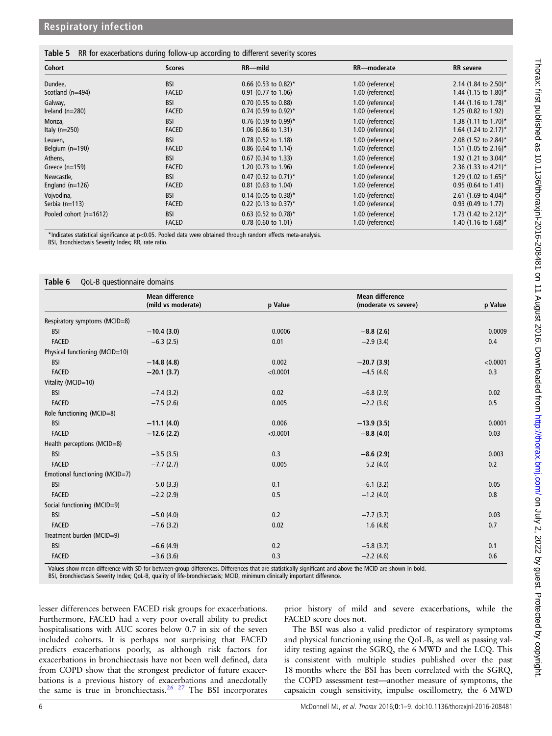## <span id="page-5-0"></span>Table 5 RR for exacerbations during follow-up according to different severity scores

| Cohort                 | <b>Scores</b> | $RR$ -mild             | RR-moderate      | <b>RR</b> severe                    |
|------------------------|---------------|------------------------|------------------|-------------------------------------|
| Dundee,                | <b>BSI</b>    | $0.66$ (0.53 to 0.82)* | 1.00 (reference) | 2.14 (1.84 to 2.50)*                |
| Scotland $(n=494)$     | <b>FACED</b>  | 0.91 (0.77 to 1.06)    | 1.00 (reference) | 1.44 (1.15 to 1.80)*                |
| Galway,                | <b>BSI</b>    | $0.70$ (0.55 to 0.88)  | 1.00 (reference) | 1.44 (1.16 to 1.78)*                |
| Ireland $(n=280)$      | <b>FACED</b>  | $0.74$ (0.59 to 0.92)* | 1.00 (reference) | 1.25 (0.82 to 1.92)                 |
| Monza,                 | <b>BSI</b>    | $0.76$ (0.59 to 0.99)* | 1.00 (reference) | 1.38 $(1.11$ to $1.70$ <sup>*</sup> |
| Italy $(n=250)$        | <b>FACED</b>  | 1.06 (0.86 to 1.31)    | 1.00 (reference) | 1.64 $(1.24 \text{ to } 2.17)^*$    |
| Leuven.                | <b>BSI</b>    | $0.78$ (0.52 to 1.18)  | 1.00 (reference) | 2.08 (1.52 to 2.84)*                |
| Belgium $(n=190)$      | <b>FACED</b>  | 0.86 (0.64 to 1.14)    | 1.00 (reference) | 1.51 (1.05 to 2.16)*                |
| Athens.                | <b>BSI</b>    | $0.67$ (0.34 to 1.33)  | 1.00 (reference) | 1.92 (1.21 to 3.04)*                |
| Greece $(n=159)$       | <b>FACED</b>  | 1.20 (0.73 to 1.96)    | 1.00 (reference) | 2.36 (1.33 to 4.21)*                |
| Newcastle,             | <b>BSI</b>    | $0.47$ (0.32 to 0.71)* | 1.00 (reference) | 1.29 (1.02 to $1.65$ )*             |
| England $(n=126)$      | <b>FACED</b>  | 0.81 (0.63 to 1.04)    | 1.00 (reference) | $0.95$ (0.64 to 1.41)               |
| Vojvodina,             | <b>BSI</b>    | $0.14$ (0.05 to 0.38)* | 1.00 (reference) | 2.61 (1.69 to 4.04)*                |
| Serbia $(n=113)$       | <b>FACED</b>  | 0.22 (0.13 to 0.37)*   | 1.00 (reference) | 0.93 (0.49 to 1.77)                 |
| Pooled cohort (n=1612) | <b>BSI</b>    | $0.63$ (0.52 to 0.78)* | 1.00 (reference) | 1.73 (1.42 to 2.12)*                |
|                        | <b>FACED</b>  | $0.78$ (0.60 to 1.01)  | 1.00 (reference) | 1.40 (1.16 to 1.68)*                |

\*Indicates statistical significance at p<0.05. Pooled data were obtained through random effects meta-analysis. BSI, Bronchiectasis Severity Index; RR, rate ratio.

#### Table 6 QoL-B questionnaire domains

|                                | <b>Mean difference</b> |          | <b>Mean difference</b> |          |
|--------------------------------|------------------------|----------|------------------------|----------|
|                                | (mild vs moderate)     | p Value  | (moderate vs severe)   | p Value  |
| Respiratory symptoms (MCID=8)  |                        |          |                        |          |
| <b>BSI</b>                     | $-10.4(3.0)$           | 0.0006   | $-8.8(2.6)$            | 0.0009   |
| <b>FACED</b>                   | $-6.3(2.5)$            | 0.01     | $-2.9(3.4)$            | 0.4      |
| Physical functioning (MCID=10) |                        |          |                        |          |
| <b>BSI</b>                     | $-14.8(4.8)$           | 0.002    | $-20.7(3.9)$           | < 0.0001 |
| <b>FACED</b>                   | $-20.1(3.7)$           | < 0.0001 | $-4.5(4.6)$            | 0.3      |
| Vitality (MCID=10)             |                        |          |                        |          |
| <b>BSI</b>                     | $-7.4(3.2)$            | 0.02     | $-6.8(2.9)$            | 0.02     |
| <b>FACED</b>                   | $-7.5(2.6)$            | 0.005    | $-2.2$ (3.6)           | 0.5      |
| Role functioning (MCID=8)      |                        |          |                        |          |
| <b>BSI</b>                     | $-11.1(4.0)$           | 0.006    | $-13.9(3.5)$           | 0.0001   |
| <b>FACED</b>                   | $-12.6(2.2)$           | < 0.0001 | $-8.8(4.0)$            | 0.03     |
| Health perceptions (MCID=8)    |                        |          |                        |          |
| <b>BSI</b>                     | $-3.5(3.5)$            | 0.3      | $-8.6(2.9)$            | 0.003    |
| <b>FACED</b>                   | $-7.7(2.7)$            | 0.005    | 5.2(4.0)               | 0.2      |
| Emotional functioning (MCID=7) |                        |          |                        |          |
| <b>BSI</b>                     | $-5.0(3.3)$            | 0.1      | $-6.1(3.2)$            | 0.05     |
| <b>FACED</b>                   | $-2.2$ (2.9)           | 0.5      | $-1.2(4.0)$            | 0.8      |
| Social functioning (MCID=9)    |                        |          |                        |          |
| <b>BSI</b>                     | $-5.0(4.0)$            | 0.2      | $-7.7(3.7)$            | 0.03     |
| <b>FACED</b>                   | $-7.6(3.2)$            | 0.02     | 1.6(4.8)               | 0.7      |
| Treatment burden (MCID=9)      |                        |          |                        |          |
| <b>BSI</b>                     | $-6.6(4.9)$            | 0.2      | $-5.8(3.7)$            | 0.1      |
| <b>FACED</b>                   | $-3.6(3.6)$            | 0.3      | $-2.2(4.6)$            | 0.6      |

Values show mean difference with SD for between-group differences. Differences that are statistically significant and above the MCID are shown in bold.

BSI, Bronchiectasis Severity Index; QoL-B, quality of life-bronchiectasis; MCID, minimum clinically important difference.

lesser differences between FACED risk groups for exacerbations. Furthermore, FACED had a very poor overall ability to predict hospitalisations with AUC scores below 0.7 in six of the seven included cohorts. It is perhaps not surprising that FACED predicts exacerbations poorly, as although risk factors for exacerbations in bronchiectasis have not been well defined, data from COPD show that the strongest predictor of future exacerbations is a previous history of exacerbations and anecdotally the same is true in bronchiectasis.<sup>[26 27](#page-8-0)</sup> The BSI incorporates

prior history of mild and severe exacerbations, while the FACED score does not.

The BSI was also a valid predictor of respiratory symptoms and physical functioning using the QoL-B, as well as passing validity testing against the SGRQ, the 6 MWD and the LCQ. This is consistent with multiple studies published over the past 18 months where the BSI has been correlated with the SGRQ, the COPD assessment test—another measure of symptoms, the capsaicin cough sensitivity, impulse oscillometry, the 6 MWD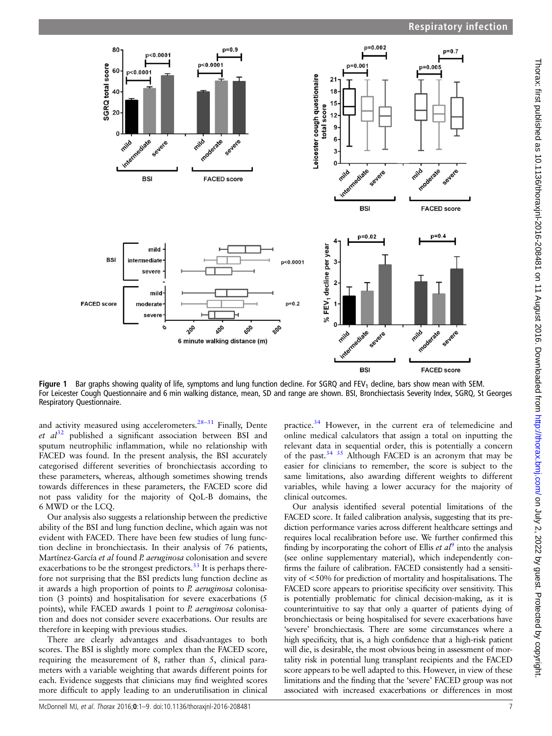<span id="page-6-0"></span>

**Figure 1** Bar graphs showing quality of life, symptoms and lung function decline. For SGRQ and FEV<sub>1</sub> decline, bars show mean with SEM. For Leicester Cough Questionnaire and 6 min walking distance, mean, SD and range are shown. BSI, Bronchiectasis Severity Index, SGRQ, St Georges Respiratory Questionnaire.

and activity measured using accelerometers. $28-31$  $28-31$  Finally, Dente et  $al^{32}$  $al^{32}$  $al^{32}$  published a significant association between BSI and sputum neutrophilic inflammation, while no relationship with FACED was found. In the present analysis, the BSI accurately categorised different severities of bronchiectasis according to these parameters, whereas, although sometimes showing trends towards differences in these parameters, the FACED score did not pass validity for the majority of QoL-B domains, the 6 MWD or the LCQ.

Our analysis also suggests a relationship between the predictive ability of the BSI and lung function decline, which again was not evident with FACED. There have been few studies of lung function decline in bronchiectasis. In their analysis of 76 patients, Martínez-García et al found P. aeruginosa colonisation and severe exacerbations to be the strongest predictors.<sup>33</sup> It is perhaps therefore not surprising that the BSI predicts lung function decline as it awards a high proportion of points to P. aeruginosa colonisation (3 points) and hospitalisation for severe exacerbations (5 points), while FACED awards 1 point to P. aeruginosa colonisation and does not consider severe exacerbations. Our results are therefore in keeping with previous studies.

There are clearly advantages and disadvantages to both scores. The BSI is slightly more complex than the FACED score, requiring the measurement of 8, rather than 5, clinical parameters with a variable weighting that awards different points for each. Evidence suggests that clinicians may find weighted scores more difficult to apply leading to an underutilisation in clinical practice.[34](#page-8-0) However, in the current era of telemedicine and online medical calculators that assign a total on inputting the relevant data in sequential order, this is potentially a concern of the past.<sup>[34 35](#page-8-0)</sup> Although FACED is an acronym that may be easier for clinicians to remember, the score is subject to the same limitations, also awarding different weights to different variables, while having a lower accuracy for the majority of clinical outcomes.

Our analysis identified several potential limitations of the FACED score. It failed calibration analysis, suggesting that its prediction performance varies across different healthcare settings and requires local recalibration before use. We further confirmed this finding by incorporating the cohort of Ellis *et*  $d^9$  $d^9$  into the analysis (see online supplementary material), which independently confirms the failure of calibration. FACED consistently had a sensitivity of <50% for prediction of mortality and hospitalisations. The FACED score appears to prioritise specificity over sensitivity. This is potentially problematic for clinical decision-making, as it is counterintuitive to say that only a quarter of patients dying of bronchiectasis or being hospitalised for severe exacerbations have 'severe' bronchiectasis. There are some circumstances where a high specificity, that is, a high confidence that a high-risk patient will die, is desirable, the most obvious being in assessment of mortality risk in potential lung transplant recipients and the FACED score appears to be well adapted to this. However, in view of these limitations and the finding that the 'severe' FACED group was not associated with increased exacerbations or differences in most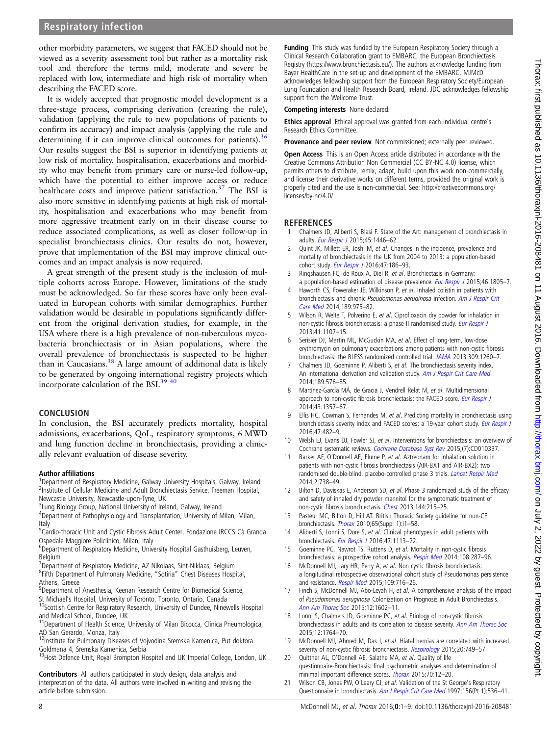<span id="page-7-0"></span>other morbidity parameters, we suggest that FACED should not be viewed as a severity assessment tool but rather as a mortality risk tool and therefore the terms mild, moderate and severe be replaced with low, intermediate and high risk of mortality when describing the FACED score.

It is widely accepted that prognostic model development is a three-stage process, comprising derivation (creating the rule), validation (applying the rule to new populations of patients to confirm its accuracy) and impact analysis (applying the rule and determining if it can improve clinical outcomes for patients).  $36$ Our results suggest the BSI is superior in identifying patients at low risk of mortality, hospitalisation, exacerbations and morbidity who may benefit from primary care or nurse-led follow-up, which have the potential to either improve access or reduce healthcare costs and improve patient satisfaction.<sup>[37](#page-8-0)</sup> The BSI is also more sensitive in identifying patients at high risk of mortality, hospitalisation and exacerbations who may benefit from more aggressive treatment early on in their disease course to reduce associated complications, as well as closer follow-up in specialist bronchiectasis clinics. Our results do not, however, prove that implementation of the BSI may improve clinical outcomes and an impact analysis is now required.

A great strength of the present study is the inclusion of multiple cohorts across Europe. However, limitations of the study must be acknowledged. So far these scores have only been evaluated in European cohorts with similar demographics. Further validation would be desirable in populations significantly different from the original derivation studies, for example, in the USA where there is a high prevalence of non-tuberculous mycobacteria bronchiectasis or in Asian populations, where the overall prevalence of bronchiectasis is suspected to be higher than in Caucasians. $38$  A large amount of additional data is likely to be generated by ongoing international registry projects which incorporate calculation of the BSI[.39 40](#page-8-0)

## **CONCLUSION**

In conclusion, the BSI accurately predicts mortality, hospital admissions, exacerbations, QoL, respiratory symptoms, 6 MWD and lung function decline in bronchiectasis, providing a clinically relevant evaluation of disease severity.

#### Author affiliations <sup>1</sup>

<sup>1</sup>Department of Respiratory Medicine, Galway University Hospitals, Galway, Ireland <sup>2</sup>Institute of Cellular Medicine and Adult Bronchiectasis Service, Freeman Hospital, Newcastle University, Newcastle-upon-Tyne, UK

- <sup>3</sup>Lung Biology Group, National University of Ireland, Galway, Ireland
- <sup>4</sup>Department of Pathophysiology and Transplantation, University of Milan, Milan, Italy
- <sup>5</sup>Cardio-thoracic Unit and Cystic Fibrosis Adult Center, Fondazione IRCCS Cà Granda Ospedale Maggiore Policlinico, Milan, Italy
- <sup>6</sup>Department of Respiratory Medicine, University Hospital Gasthuisberg, Leuven, Belgium
- 7 Department of Respiratory Medicine, AZ Nikolaas, Sint-Niklaas, Belgium <sup>8</sup>Fifth Department of Pulmonary Medicine, "Sotiria" Chest Diseases Hospital, Athens, Greece
- <sup>9</sup>Department of Anesthesia, Keenan Research Centre for Biomedical Science,
- St Michael's Hospital, University of Toronto, Toronto, Ontario, Canada 10Scottish Centre for Respiratory Research, University of Dundee, Ninewells Hospital
- and Medical School, Dundee, UK<br><sup>11</sup>Department of Health Science, University of Milan Bicocca, Clinica Pneumologica,
- AO San Gerardo, Monza, Italy<br><sup>12</sup>Institute for Pulmonary Diseases of Vojvodina Sremska Kamenica, Put doktora Goldmana 4, Sremska Kamenica, Serbia
- <sup>13</sup> Host Defence Unit, Royal Brompton Hospital and UK Imperial College, London, UK

Contributors All authors participated in study design, data analysis and interpretation of the data. All authors were involved in writing and revising the article before submission.

**Funding** This study was funded by the European Respiratory Society through a Clinical Research Collaboration grant to EMBARC, the European Bronchiectasis Registry [\(https://www.bronchiectasis.eu/\)](https://www.bronchiectasis.eu/). The authors acknowledge funding from Bayer HealthCare in the set-up and development of the EMBARC. MJMcD acknowledges fellowship support from the European Respiratory Society/European Lung Foundation and Health Research Board, Ireland. JDC acknowledges fellowship support from the Wellcome Trust.

Competing interests None declared.

Ethics approval Ethical approval was granted from each individual centre's Research Ethics Committee.

Provenance and peer review Not commissioned; externally peer reviewed.

Open Access This is an Open Access article distributed in accordance with the Creative Commons Attribution Non Commercial (CC BY-NC 4.0) license, which permits others to distribute, remix, adapt, build upon this work non-commercially, and license their derivative works on different terms, provided the original work is properly cited and the use is non-commercial. See: [http://creativecommons.org/](http://creativecommons.org/licenses/by-nc/4.0/) [licenses/by-nc/4.0/](http://creativecommons.org/licenses/by-nc/4.0/)

## **REFERENCES**

- 1 Chalmers JD, Aliberti S, Blasi F. State of the Art: management of bronchiectasis in adults. [Eur Respir J](http://dx.doi.org/10.1183/09031936.00119114) 2015;45:1446-62.
- 2 Quint JK, Millett ER, Joshi M, et al. Changes in the incidence, prevalence and mortality of bronchiectasis in the UK from 2004 to 2013: a population-based cohort study. [Eur Respir J](http://dx.doi.org/10.1183/13993003.01033-2015) 2016;47:186-93.
- 3 Ringshausen FC, de Roux A, Diel R, et al. Bronchiectasis in Germany: a population-based estimation of disease prevalence. [Eur Respir J](http://dx.doi.org/10.1183/13993003.00954-2015) 2015;46:1805-7.
- 4 Haworth CS. Foweraker JE, Wilkinson P, et al. Inhaled colistin in patients with bronchiectasis and chronic Pseudomonas aeruginosa infection. [Am J Respir Crit](http://dx.doi.org/10.1164/rccm.201312-2208OC) [Care Med](http://dx.doi.org/10.1164/rccm.201312-2208OC) 2014;189:975–82.
- 5 Wilson R, Welte T, Polverino E, et al. Ciprofloxacin dry powder for inhalation in non-cystic fibrosis bronchiectasis: a phase II randomised study. [Eur Respir J](http://dx.doi.org/10.1183/09031936.00071312) 2013;41:1107–15.
- 6 Serisier DJ, Martin ML, McGuckin MA, et al. Effect of long-term, low-dose erythromycin on pulmonary exacerbations among patients with non-cystic fibrosis bronchiectasis: the BLESS randomized controlled trial. [JAMA](http://dx.doi.org/10.1001/jama.2013.2290) 2013;309:1260–7.
- 7 Chalmers JD, Goeminne P, Aliberti S, et al. The bronchiectasis severity index. An international derivation and validation study. [Am J Respir Crit Care Med](http://dx.doi.org/10.1164/rccm.201309-1575OC) 2014;189:576–85.
- Martínez-García MÁ, de Gracia J, Vendrell Relat M, et al. Multidimensional approach to non-cystic fibrosis bronchiectasis: the FACED score. [Eur Respir J](http://dx.doi.org/10.1183/09031936.00026313) 2014;43:1357–67.
- Ellis HC, Cowman S, Fernandes M, et al. Predicting mortality in bronchiectasis using bronchiectasis severity index and FACED scores: a 19-year cohort study. [Eur Respir J](http://dx.doi.org/10.1183/13993003.01312-2015) 2016;47:482–9.
- 10 Welsh EJ, Evans DJ, Fowler SJ, et al. Interventions for bronchiectasis: an overview of Cochrane systematic reviews. [Cochrane Database Syst Rev](http://dx.doi.org/10.1002/14651858.CD010337.pub2) 2015;(7):CD010337.
- 11 Barker AF, O'Donnell AF, Flume P, et al. Aztreonam for inhalation solution in patients with non-cystic fibrosis bronchiectasis (AIR-BX1 and AIR-BX2): two randomised double-blind, placebo-controlled phase 3 trials. [Lancet Respir Med](http://dx.doi.org/10.1016/S2213-2600(14)70165-1) 2014;2:738–49.
- 12 Bilton D, Daviskas E, Anderson SD, et al. Phase 3 randomized study of the efficacy and safety of inhaled dry powder mannitol for the symptomatic treatment of non-cystic fibrosis bronchiectasis. [Chest](http://dx.doi.org/10.1378/chest.12-1763) 2013;144:215–25.
- 13 Pasteur MC, Bilton D, Hill AT. British Thoracic Society guideline for non-CF bronchiectasis. [Thorax](http://dx.doi.org/10.1136/thx.2010.136119) 2010;65(Suppl 1):i1-58.
- 14 Aliberti S, Lonni S, Dore S, et al. Clinical phenotypes in adult patients with bronchiectasis. [Eur Respir J](http://dx.doi.org/10.1183/13993003.01899-2015) 2016;47:1113–22.
- 15 Goeminne PC, Nawrot TS, Ruttens D, et al. Mortality in non-cystic fibrosis bronchiectasis: a prospective cohort analysis. [Respir Med](http://dx.doi.org/10.1016/j.rmed.2013.12.015) 2014;108:287–96.
- 16 McDonnell MJ, Jary HR, Perry A, et al. Non cystic fibrosis bronchiectasis: a longitudinal retrospective observational cohort study of Pseudomonas persistence and resistance. [Respir Med](http://dx.doi.org/10.1016/j.rmed.2014.07.021) 2015;109:716-26.
- 17 Finch S, McDonnell MJ, Abo-Leyah H, et al. A comprehensive analysis of the impact of Pseudomonas aeruginosa Colonization on Prognosis in Adult Bronchiectasis. [Ann Am Thorac Soc](http://dx.doi.org/10.1513/AnnalsATS.201506-333OC) 2015;12:1602–11.
- 18 Lonni S, Chalmers JD, Goeminne PC, et al. Etiology of non-cystic fibrosis bronchiectasis in adults and its correlation to disease severity. [Ann Am Thorac Soc](http://dx.doi.org/10.1513/AnnalsATS.201507-472OC) 2015;12:1764–70.
- 19 McDonnell MJ, Ahmed M, Das J, et al. Hiatal hernias are correlated with increased severity of non-cystic fibrosis bronchiectasis. [Respirology](http://dx.doi.org/10.1111/resp.12522) 2015;20:749-57.
- 20 Quittner AL, O'Donnell AE, Salathe MA, et al. Quality of life questionnaire-Bronchiectasis: final psychometric analyses and determination of minimal important difference scores. [Thorax](http://dx.doi.org/10.1136/thoraxjnl-2014-205918) 2015;70:12–20.
- 21 Wilson CB, Jones PW, O'Leary CJ, et al. Validation of the St George's Respiratory Questionnaire in bronchiectasis. [Am J Respir Crit Care Med](http://dx.doi.org/10.1164/ajrccm.156.2.9607083) 1997;156(Pt 1):536-41.